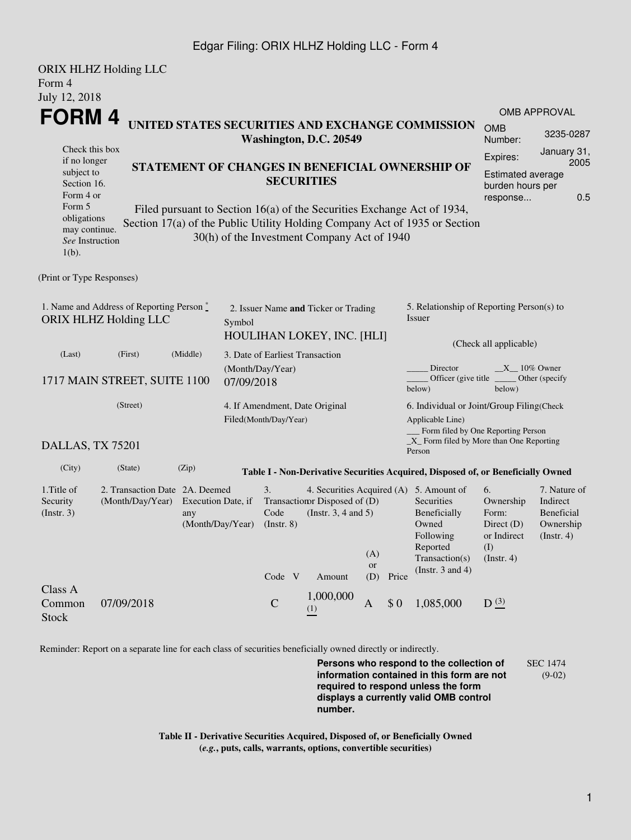## Edgar Filing: ORIX HLHZ Holding LLC - Form 4

|                                                                             | <b>ORIX HLHZ Holding LLC</b>   |                    |                  |                                                 |                                             |                  |       |                                                                                                                                                       |                             |                          |  |
|-----------------------------------------------------------------------------|--------------------------------|--------------------|------------------|-------------------------------------------------|---------------------------------------------|------------------|-------|-------------------------------------------------------------------------------------------------------------------------------------------------------|-----------------------------|--------------------------|--|
| Form 4                                                                      |                                |                    |                  |                                                 |                                             |                  |       |                                                                                                                                                       |                             |                          |  |
| July 12, 2018                                                               |                                |                    |                  |                                                 |                                             |                  |       |                                                                                                                                                       |                             |                          |  |
| <b>FORM4</b><br>UNITED STATES SECURITIES AND EXCHANGE COMMISSION            |                                |                    |                  |                                                 |                                             |                  |       |                                                                                                                                                       | OMB APPROVAL                |                          |  |
|                                                                             |                                |                    |                  |                                                 | Washington, D.C. 20549                      |                  |       |                                                                                                                                                       | <b>OMB</b><br>Number:       | 3235-0287                |  |
| Check this box<br>if no longer                                              |                                |                    |                  |                                                 |                                             |                  |       |                                                                                                                                                       | Expires:                    | January 31,<br>2005      |  |
| subject to                                                                  |                                |                    |                  | STATEMENT OF CHANGES IN BENEFICIAL OWNERSHIP OF |                                             |                  |       |                                                                                                                                                       | Estimated average           |                          |  |
| Section 16.                                                                 |                                |                    |                  | <b>SECURITIES</b>                               |                                             |                  |       |                                                                                                                                                       | burden hours per            |                          |  |
| Form 4 or<br>Form 5                                                         |                                |                    |                  |                                                 |                                             |                  |       |                                                                                                                                                       | response                    | 0.5                      |  |
| obligations                                                                 |                                |                    |                  |                                                 |                                             |                  |       | Filed pursuant to Section 16(a) of the Securities Exchange Act of 1934,<br>Section 17(a) of the Public Utility Holding Company Act of 1935 or Section |                             |                          |  |
| may continue.                                                               |                                |                    |                  |                                                 | 30(h) of the Investment Company Act of 1940 |                  |       |                                                                                                                                                       |                             |                          |  |
| See Instruction<br>$1(b)$ .                                                 |                                |                    |                  |                                                 |                                             |                  |       |                                                                                                                                                       |                             |                          |  |
|                                                                             |                                |                    |                  |                                                 |                                             |                  |       |                                                                                                                                                       |                             |                          |  |
| (Print or Type Responses)                                                   |                                |                    |                  |                                                 |                                             |                  |       |                                                                                                                                                       |                             |                          |  |
|                                                                             |                                |                    |                  |                                                 |                                             |                  |       |                                                                                                                                                       |                             |                          |  |
| 1. Name and Address of Reporting Person*<br>ORIX HLHZ Holding LLC<br>Symbol |                                |                    |                  | 2. Issuer Name and Ticker or Trading            |                                             |                  |       | 5. Relationship of Reporting Person(s) to<br>Issuer                                                                                                   |                             |                          |  |
|                                                                             |                                |                    |                  |                                                 |                                             |                  |       |                                                                                                                                                       |                             |                          |  |
|                                                                             |                                |                    |                  |                                                 | HOULIHAN LOKEY, INC. [HLI]                  |                  |       | (Check all applicable)                                                                                                                                |                             |                          |  |
| (Last)                                                                      | (First)                        | (Middle)           |                  | 3. Date of Earliest Transaction                 |                                             |                  |       |                                                                                                                                                       |                             |                          |  |
| 1717 MAIN STREET, SUITE 1100                                                |                                |                    | (Month/Day/Year) |                                                 |                                             |                  |       | Director<br>$X = 10\%$ Owner<br>Officer (give title)<br>Other (specify                                                                                |                             |                          |  |
|                                                                             |                                |                    | 07/09/2018       |                                                 |                                             |                  |       | below)                                                                                                                                                | below)                      |                          |  |
| (Street)                                                                    |                                |                    |                  |                                                 | 4. If Amendment, Date Original              |                  |       | 6. Individual or Joint/Group Filing(Check                                                                                                             |                             |                          |  |
|                                                                             |                                |                    |                  | Filed(Month/Day/Year)                           |                                             |                  |       | Applicable Line)                                                                                                                                      |                             |                          |  |
|                                                                             |                                |                    |                  |                                                 |                                             |                  |       | __ Form filed by One Reporting Person<br>$\_X$ Form filed by More than One Reporting                                                                  |                             |                          |  |
| DALLAS, TX 75201                                                            |                                |                    |                  |                                                 |                                             |                  |       | Person                                                                                                                                                |                             |                          |  |
| (City)                                                                      | (State)                        | (Zip)              |                  |                                                 |                                             |                  |       | Table I - Non-Derivative Securities Acquired, Disposed of, or Beneficially Owned                                                                      |                             |                          |  |
| 1. Title of                                                                 | 2. Transaction Date 2A. Deemed |                    |                  | 3.                                              |                                             |                  |       | 4. Securities Acquired (A) 5. Amount of                                                                                                               | 6.                          | 7. Nature of             |  |
| Security                                                                    | (Month/Day/Year)               | Execution Date, if |                  |                                                 | Transaction Disposed of (D)                 |                  |       | Securities                                                                                                                                            | Ownership                   | Indirect                 |  |
| (Insert. 3)                                                                 |                                | any                |                  | Code                                            | (Instr. $3, 4$ and $5$ )                    |                  |       | Beneficially                                                                                                                                          | Form:                       | Beneficial               |  |
|                                                                             |                                | (Month/Day/Year)   |                  | $($ Instr. $8)$                                 |                                             |                  |       | Owned<br>Following                                                                                                                                    | Direct $(D)$<br>or Indirect | Ownership<br>(Insert. 4) |  |
|                                                                             |                                |                    |                  |                                                 |                                             |                  |       | Reported                                                                                                                                              | (I)                         |                          |  |
|                                                                             |                                |                    |                  |                                                 |                                             | (A)<br><b>or</b> |       | Transaction(s)                                                                                                                                        | (Insert. 4)                 |                          |  |
|                                                                             |                                |                    |                  | Code V                                          | Amount                                      | (D)              | Price | (Instr. $3$ and $4$ )                                                                                                                                 |                             |                          |  |
| Class A                                                                     |                                |                    |                  |                                                 | 1,000,000                                   |                  |       |                                                                                                                                                       |                             |                          |  |
| Common                                                                      | 07/09/2018                     |                    |                  | $\mathcal{C}$                                   | (1)                                         | $\mathbf{A}$     | \$0   | 1,085,000                                                                                                                                             | D(3)                        |                          |  |
| <b>Stock</b>                                                                |                                |                    |                  |                                                 |                                             |                  |       |                                                                                                                                                       |                             |                          |  |

Reminder: Report on a separate line for each class of securities beneficially owned directly or indirectly.

**Persons who respond to the collection of information contained in this form are not required to respond unless the form displays a currently valid OMB control number.** SEC 1474 (9-02)

**Table II - Derivative Securities Acquired, Disposed of, or Beneficially Owned (***e.g.***, puts, calls, warrants, options, convertible securities)**